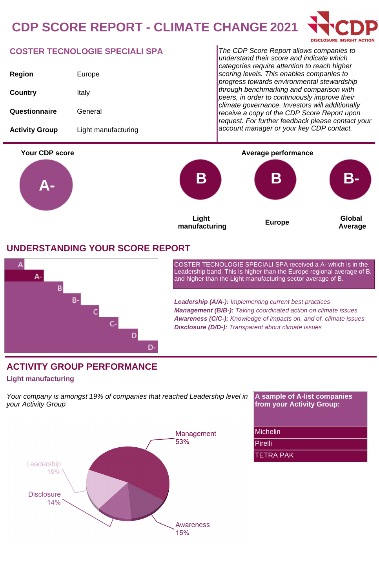# **CDP SCORE REPORT - CLIMATE CHANGE 2021**



### **COSTER TECNOLOGIE SPECIALI SPA**

| Region                | Europe              |
|-----------------------|---------------------|
| Country               | Italy               |
| Questionnaire         | General             |
| <b>Activity Group</b> | Light manufacturing |

The CDP Score Report allows companies to understand their score and indicate which categories require attention to reach higher scoring levels. This enables companies to progress towards environmental stewardship through benchmarking and comparison with peers, in order to continuously improve their climate governance. Investors will additionally receive a copy of the CDP Score Report upon request. For further feedback please contact your account manager or your key CDP contact.



### **UNDERSTANDING YOUR SCORE REPORT**



COSTER TECNOLOGIE SPECIALI SPA received a A- which is in the Leadership band. This is higher than the Europe regional average of B, and higher than the Light manufacturing sector average of B.

**Leadership (A/A-):** Implementing current best practices **Management (B/B-):** Taking coordinated action on climate issues **Awareness (C/C-):** Knowledge of impacts on, and of, climate issues **Disclosure (D/D-):** Transparent about climate issues

## **ACTIVITY GROUP PERFORMANCE**

#### **Light manufacturing**

Your company is amongst 19% of companies that reached Leadership level in your Activity Group



**A sample of A-list companies from your Activity Group:**

#### Michelin

Pirelli

TETRA PAK